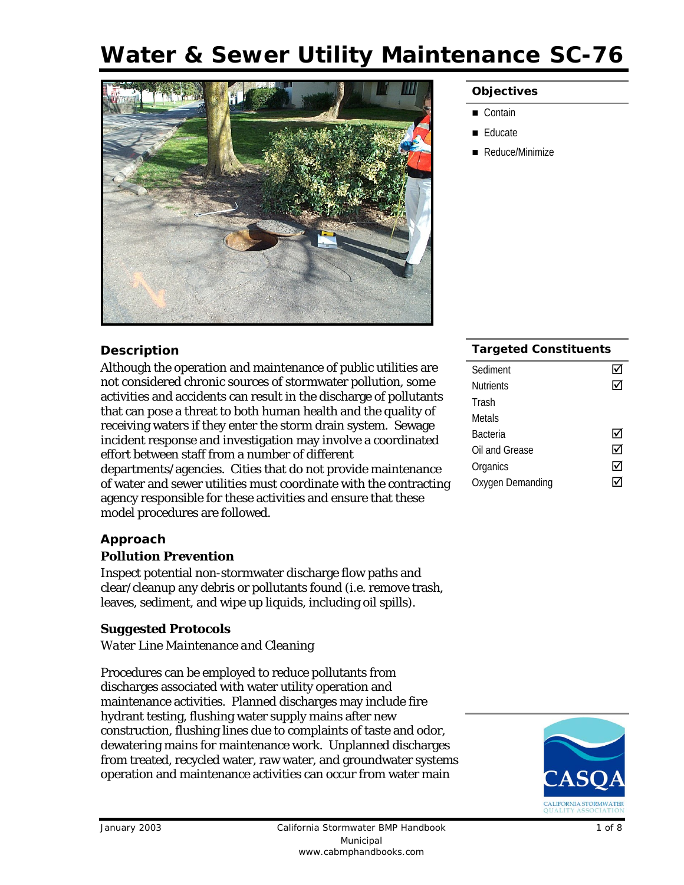# **Water & Sewer Utility Maintenance SC-76**



#### **Objectives**

- Contain
- Educate
- Reduce/Minimize

## **Description**

Although the operation and maintenance of public utilities are not considered chronic sources of stormwater pollution, some activities and accidents can result in the discharge of pollutants that can pose a threat to both human health and the quality of receiving waters if they enter the storm drain system. Sewage incident response and investigation may involve a coordinated effort between staff from a number of different departments/agencies. Cities that do not provide maintenance of water and sewer utilities must coordinate with the contracting agency responsible for these activities and ensure that these model procedures are followed.

#### **Approach**

#### *Pollution Prevention*

Inspect potential non-stormwater discharge flow paths and clear/cleanup any debris or pollutants found (i.e. remove trash, leaves, sediment, and wipe up liquids, including oil spills).

## *Suggested Protocols*

#### *Water Line Maintenance and Cleaning*

Procedures can be employed to reduce pollutants from discharges associated with water utility operation and maintenance activities. Planned discharges may include fire hydrant testing, flushing water supply mains after new construction, flushing lines due to complaints of taste and odor, dewatering mains for maintenance work. Unplanned discharges from treated, recycled water, raw water, and groundwater systems operation and maintenance activities can occur from water main

#### **Targeted Constituents**

| Sediment         |   |
|------------------|---|
| <b>Nutrients</b> |   |
| Trash            |   |
| Metals           |   |
| Bacteria         |   |
| Oil and Grease   | M |
| Organics         | ⋈ |
| Oxygen Demanding |   |
|                  |   |

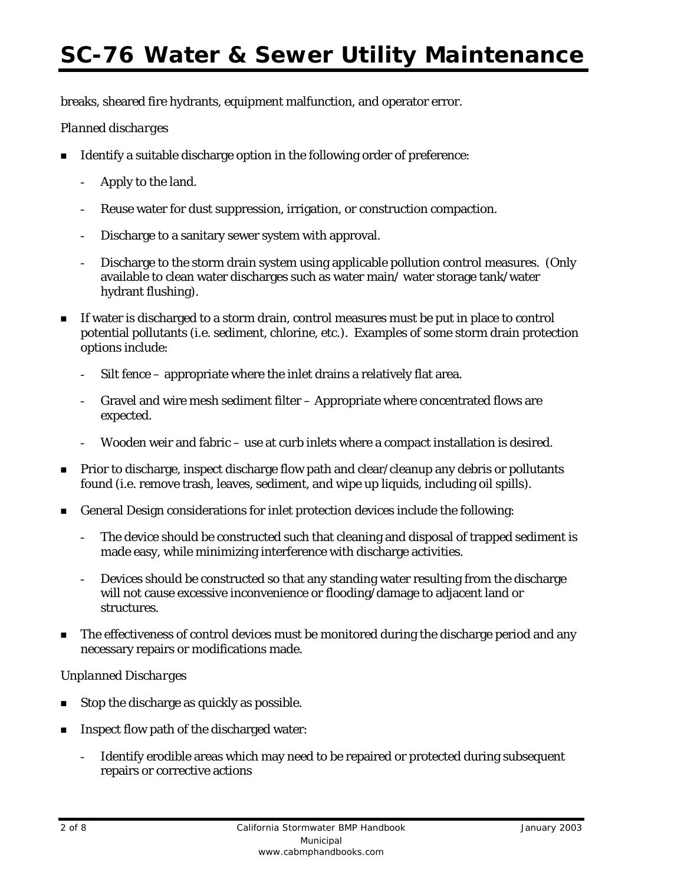# **SC-76 Water & Sewer Utility Maintenance**

breaks, sheared fire hydrants, equipment malfunction, and operator error.

### *Planned discharges*

- Identify a suitable discharge option in the following order of preference:
	- Apply to the land.
	- Reuse water for dust suppression, irrigation, or construction compaction.
	- Discharge to a sanitary sewer system with approval.
	- Discharge to the storm drain system using applicable pollution control measures. (Only available to clean water discharges such as water main/ water storage tank/water hydrant flushing).
- If water is discharged to a storm drain, control measures must be put in place to control potential pollutants (i.e. sediment, chlorine, etc.). Examples of some storm drain protection options include:
	- Silt fence appropriate where the inlet drains a relatively flat area.
	- Gravel and wire mesh sediment filter Appropriate where concentrated flows are expected.
	- Wooden weir and fabric use at curb inlets where a compact installation is desired.
- **Prior to discharge, inspect discharge flow path and clear/cleanup any debris or pollutants** found (i.e. remove trash, leaves, sediment, and wipe up liquids, including oil spills).
- General Design considerations for inlet protection devices include the following:
	- The device should be constructed such that cleaning and disposal of trapped sediment is made easy, while minimizing interference with discharge activities.
	- Devices should be constructed so that any standing water resulting from the discharge will not cause excessive inconvenience or flooding/damage to adjacent land or structures.
- The effectiveness of control devices must be monitored during the discharge period and any necessary repairs or modifications made.

## *Unplanned Discharges*

- Stop the discharge as quickly as possible.
- Inspect flow path of the discharged water:
	- Identify erodible areas which may need to be repaired or protected during subsequent repairs or corrective actions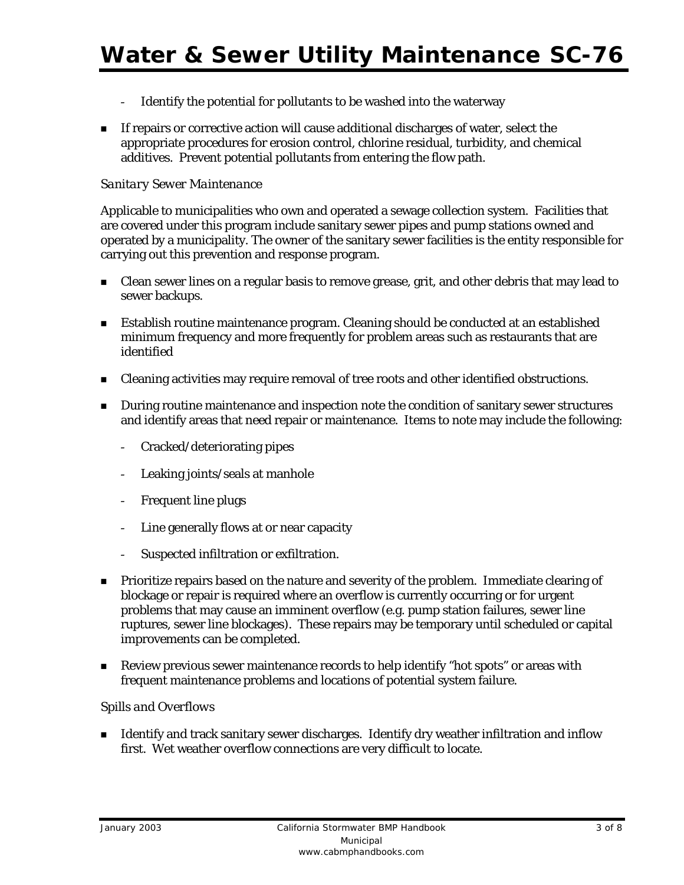- Identify the potential for pollutants to be washed into the waterway
- **If repairs or corrective action will cause additional discharges of water, select the** appropriate procedures for erosion control, chlorine residual, turbidity, and chemical additives. Prevent potential pollutants from entering the flow path.

#### *Sanitary Sewer Maintenance*

Applicable to municipalities who own and operated a sewage collection system. Facilities that are covered under this program include sanitary sewer pipes and pump stations owned and operated by a municipality. The owner of the sanitary sewer facilities is the entity responsible for carrying out this prevention and response program.

- **EXECT** Clean sewer lines on a regular basis to remove grease, grit, and other debris that may lead to sewer backups.
- **Establish routine maintenance program. Cleaning should be conducted at an established** minimum frequency and more frequently for problem areas such as restaurants that are identified
- Cleaning activities may require removal of tree roots and other identified obstructions.
- **During routine maintenance and inspection note the condition of sanitary sewer structures** and identify areas that need repair or maintenance. Items to note may include the following:
	- Cracked/deteriorating pipes
	- Leaking joints/seals at manhole
	- Frequent line plugs
	- Line generally flows at or near capacity
	- Suspected infiltration or exfiltration.
- **Prioritize repairs based on the nature and severity of the problem. Immediate clearing of** blockage or repair is required where an overflow is currently occurring or for urgent problems that may cause an imminent overflow (e.g. pump station failures, sewer line ruptures, sewer line blockages). These repairs may be temporary until scheduled or capital improvements can be completed.
- Review previous sewer maintenance records to help identify "hot spots" or areas with frequent maintenance problems and locations of potential system failure.

#### *Spills and Overflows*

 Identify and track sanitary sewer discharges. Identify dry weather infiltration and inflow first. Wet weather overflow connections are very difficult to locate.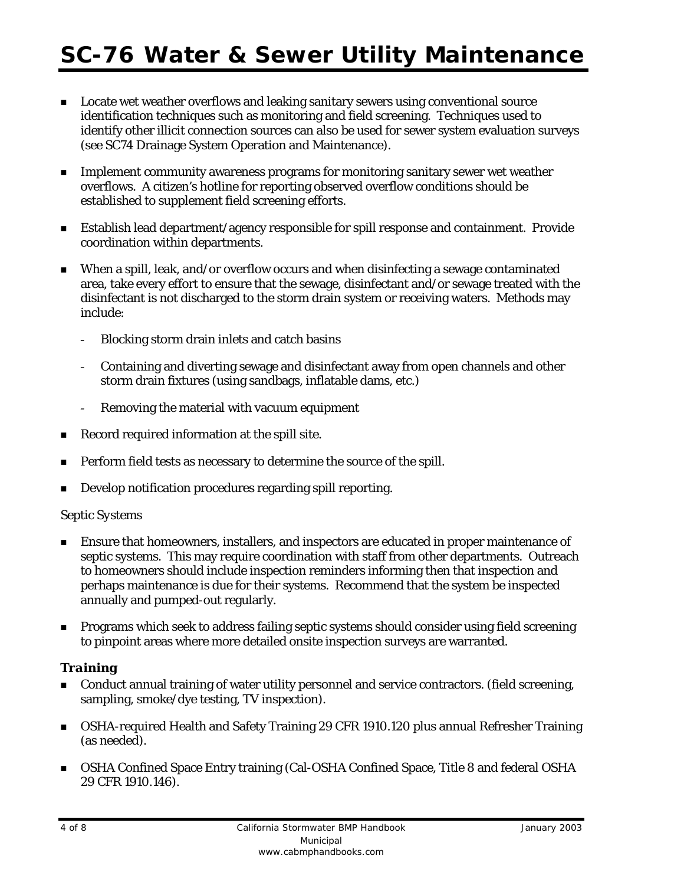- Locate wet weather overflows and leaking sanitary sewers using conventional source identification techniques such as monitoring and field screening. Techniques used to identify other illicit connection sources can also be used for sewer system evaluation surveys (see SC74 Drainage System Operation and Maintenance).
- **Implement community awareness programs for monitoring sanitary sewer wet weather** overflows. A citizen's hotline for reporting observed overflow conditions should be established to supplement field screening efforts.
- Establish lead department/agency responsible for spill response and containment. Provide coordination within departments.
- When a spill, leak, and/or overflow occurs and when disinfecting a sewage contaminated area, take every effort to ensure that the sewage, disinfectant and/or sewage treated with the disinfectant is not discharged to the storm drain system or receiving waters. Methods may include:
	- Blocking storm drain inlets and catch basins
	- Containing and diverting sewage and disinfectant away from open channels and other storm drain fixtures (using sandbags, inflatable dams, etc.)
	- Removing the material with vacuum equipment
- Record required information at the spill site.
- Perform field tests as necessary to determine the source of the spill.
- Develop notification procedures regarding spill reporting.

#### *Septic Systems*

- Ensure that homeowners, installers, and inspectors are educated in proper maintenance of septic systems. This may require coordination with staff from other departments. Outreach to homeowners should include inspection reminders informing then that inspection and perhaps maintenance is due for their systems. Recommend that the system be inspected annually and pumped-out regularly.
- **Programs which seek to address failing septic systems should consider using field screening** to pinpoint areas where more detailed onsite inspection surveys are warranted.

## *Training*

- Conduct annual training of water utility personnel and service contractors. (field screening, sampling, smoke/dye testing, TV inspection).
- OSHA-required Health and Safety Training 29 CFR 1910.120 plus annual Refresher Training (as needed).
- OSHA Confined Space Entry training (Cal-OSHA Confined Space, Title 8 and federal OSHA 29 CFR 1910.146).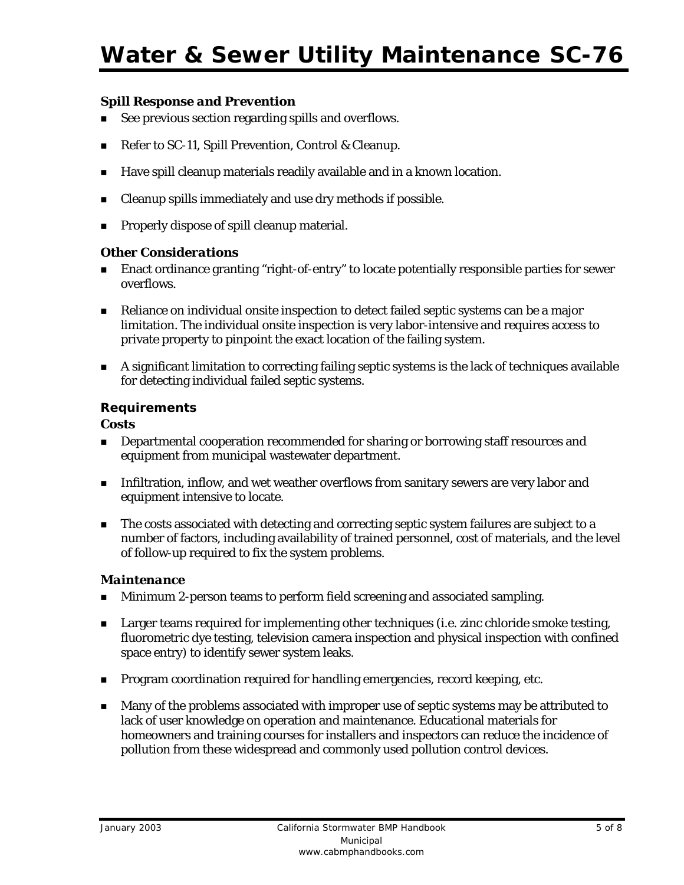## *Spill Response and Prevention*

- See previous section regarding spills and overflows.
- Refer to SC-11, Spill Prevention, Control & Cleanup.
- Have spill cleanup materials readily available and in a known location.
- Cleanup spills immediately and use dry methods if possible.
- **Properly dispose of spill cleanup material.**

## *Other Considerations*

- Enact ordinance granting "right-of-entry" to locate potentially responsible parties for sewer overflows.
- **Reliance on individual onsite inspection to detect failed septic systems can be a major** limitation. The individual onsite inspection is very labor-intensive and requires access to private property to pinpoint the exact location of the failing system.
- A significant limitation to correcting failing septic systems is the lack of techniques available for detecting individual failed septic systems.

## **Requirements**

### *Costs*

- **Departmental cooperation recommended for sharing or borrowing staff resources and** equipment from municipal wastewater department.
- **Infiltration, inflow, and wet weather overflows from sanitary sewers are very labor and** equipment intensive to locate.
- The costs associated with detecting and correcting septic system failures are subject to a number of factors, including availability of trained personnel, cost of materials, and the level of follow-up required to fix the system problems.

## *Maintenance*

- **Minimum 2-person teams to perform field screening and associated sampling.**
- **Example 1** Larger teams required for implementing other techniques (i.e. zinc chloride smoke testing, fluorometric dye testing, television camera inspection and physical inspection with confined space entry) to identify sewer system leaks.
- **Program coordination required for handling emergencies, record keeping, etc.**
- **Many of the problems associated with improper use of septic systems may be attributed to** lack of user knowledge on operation and maintenance. Educational materials for homeowners and training courses for installers and inspectors can reduce the incidence of pollution from these widespread and commonly used pollution control devices.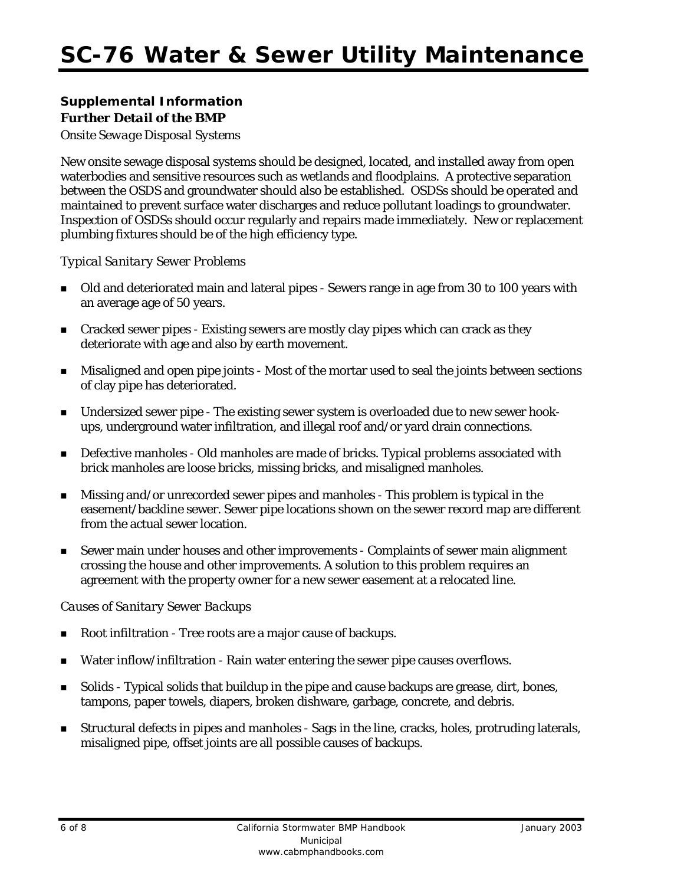# **Supplemental Information**  *Further Detail of the BMP*

*Onsite Sewage Disposal Systems* 

New onsite sewage disposal systems should be designed, located, and installed away from open waterbodies and sensitive resources such as wetlands and floodplains. A protective separation between the OSDS and groundwater should also be established. OSDSs should be operated and maintained to prevent surface water discharges and reduce pollutant loadings to groundwater. Inspection of OSDSs should occur regularly and repairs made immediately. New or replacement plumbing fixtures should be of the high efficiency type.

## *Typical Sanitary Sewer Problems*

- Old and deteriorated main and lateral pipes Sewers range in age from 30 to 100 years with an average age of 50 years.
- **EXECT** Cracked sewer pipes Existing sewers are mostly clay pipes which can crack as they deteriorate with age and also by earth movement.
- Misaligned and open pipe joints Most of the mortar used to seal the joints between sections of clay pipe has deteriorated.
- Undersized sewer pipe The existing sewer system is overloaded due to new sewer hookups, underground water infiltration, and illegal roof and/or yard drain connections.
- Defective manholes Old manholes are made of bricks. Typical problems associated with brick manholes are loose bricks, missing bricks, and misaligned manholes.
- Missing and/or unrecorded sewer pipes and manholes This problem is typical in the easement/backline sewer. Sewer pipe locations shown on the sewer record map are different from the actual sewer location.
- Sewer main under houses and other improvements Complaints of sewer main alignment crossing the house and other improvements. A solution to this problem requires an agreement with the property owner for a new sewer easement at a relocated line.

#### *Causes of Sanitary Sewer Backups*

- Root infiltration Tree roots are a major cause of backups.
- Water inflow/infiltration Rain water entering the sewer pipe causes overflows.
- Solids Typical solids that buildup in the pipe and cause backups are grease, dirt, bones, tampons, paper towels, diapers, broken dishware, garbage, concrete, and debris.
- Structural defects in pipes and manholes Sags in the line, cracks, holes, protruding laterals, misaligned pipe, offset joints are all possible causes of backups.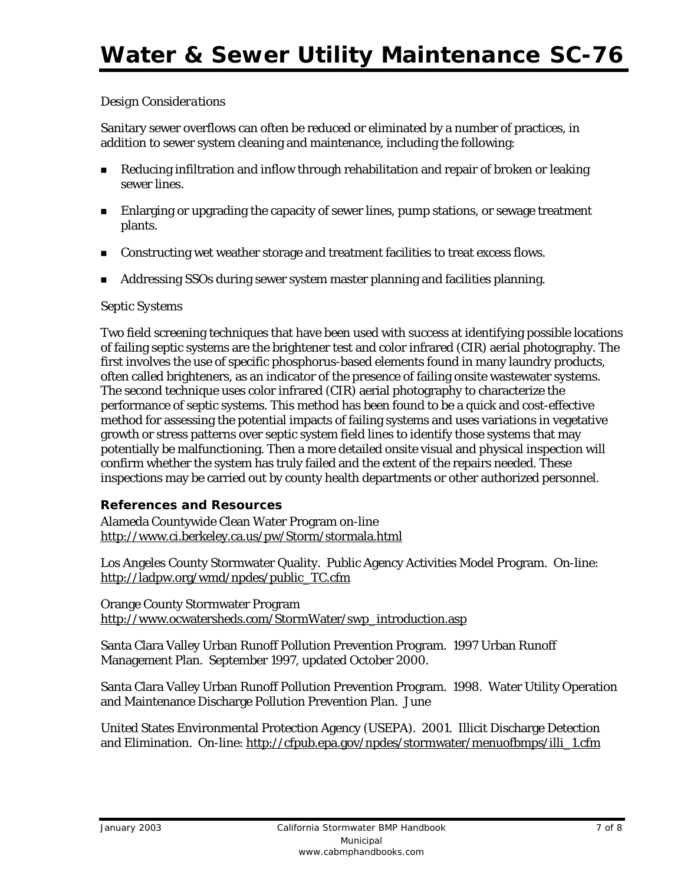## *Design Considerations*

Sanitary sewer overflows can often be reduced or eliminated by a number of practices, in addition to sewer system cleaning and maintenance, including the following:

- **EXED** Reducing infiltration and inflow through rehabilitation and repair of broken or leaking sewer lines.
- **Enlarging or upgrading the capacity of sewer lines, pump stations, or sewage treatment** plants.
- **Constructing wet weather storage and treatment facilities to treat excess flows.**
- Addressing SSOs during sewer system master planning and facilities planning.

#### *Septic Systems*

Two field screening techniques that have been used with success at identifying possible locations of failing septic systems are the brightener test and color infrared (CIR) aerial photography. The first involves the use of specific phosphorus-based elements found in many laundry products, often called brighteners, as an indicator of the presence of failing onsite wastewater systems. The second technique uses color infrared (CIR) aerial photography to characterize the performance of septic systems. This method has been found to be a quick and cost-effective method for assessing the potential impacts of failing systems and uses variations in vegetative growth or stress patterns over septic system field lines to identify those systems that may potentially be malfunctioning. Then a more detailed onsite visual and physical inspection will confirm whether the system has truly failed and the extent of the repairs needed. These inspections may be carried out by county health departments or other authorized personnel.

#### **References and Resources**

Alameda Countywide Clean Water Program on-line http://www.ci.berkeley.ca.us/pw/Storm/stormala.html

Los Angeles County Stormwater Quality. Public Agency Activities Model Program. On-line: http://ladpw.org/wmd/npdes/public\_TC.cfm

Orange County Stormwater Program http://www.ocwatersheds.com/StormWater/swp\_introduction.asp

Santa Clara Valley Urban Runoff Pollution Prevention Program. 1997 Urban Runoff Management Plan. September 1997, updated October 2000.

Santa Clara Valley Urban Runoff Pollution Prevention Program. 1998. Water Utility Operation and Maintenance Discharge Pollution Prevention Plan. June

United States Environmental Protection Agency (USEPA). 2001. Illicit Discharge Detection and Elimination. On-line: http://cfpub.epa.gov/npdes/stormwater/menuofbmps/illi\_1.cfm